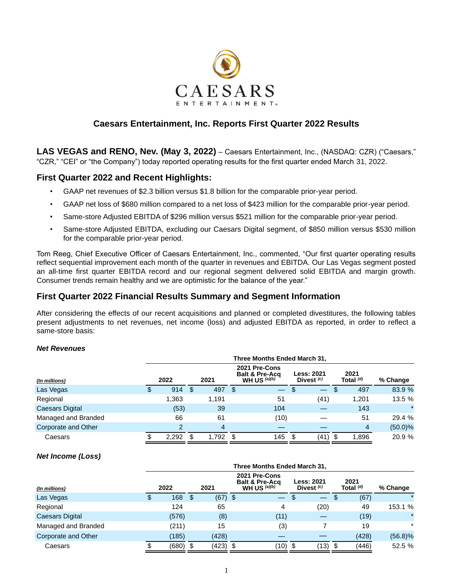

## **Caesars Entertainment, Inc. Reports First Quarter 2022 Results**

**LAS VEGAS and RENO, Nev. (May 3, 2022)** – Caesars Entertainment, Inc., (NASDAQ: CZR) ("Caesars," "CZR," "CEI" or "the Company") today reported operating results for the first quarter ended March 31, 2022.

## **First Quarter 2022 and Recent Highlights:**

- GAAP net revenues of \$2.3 billion versus \$1.8 billion for the comparable prior-year period.
- GAAP net loss of \$680 million compared to a net loss of \$423 million for the comparable prior-year period.
- Same-store Adjusted EBITDA of \$296 million versus \$521 million for the comparable prior-year period.
- Same-store Adjusted EBITDA, excluding our Caesars Digital segment, of \$850 million versus \$530 million for the comparable prior-year period.

Tom Reeg, Chief Executive Officer of Caesars Entertainment, Inc., commented, "Our first quarter operating results reflect sequential improvement each month of the quarter in revenues and EBITDA. Our Las Vegas segment posted an all-time first quarter EBITDA record and our regional segment delivered solid EBITDA and margin growth. Consumer trends remain healthy and we are optimistic for the balance of the year."

# **First Quarter 2022 Financial Results Summary and Segment Information**

After considering the effects of our recent acquisitions and planned or completed divestitures, the following tables present adjustments to net revenues, net income (loss) and adjusted EBITDA as reported, in order to reflect a same-store basis:

### *Net Revenues*

|                     | Three Months Ended March 31, |     |       |     |                                                              |    |                                   |     |                     |            |  |  |
|---------------------|------------------------------|-----|-------|-----|--------------------------------------------------------------|----|-----------------------------------|-----|---------------------|------------|--|--|
| (In millions)       | 2022                         |     | 2021  |     | 2021 Pre-Cons<br><b>Balt &amp; Pre-Acq</b><br>WH US $(a)(b)$ |    | <b>Less: 2021</b><br>Divest $(c)$ |     | 2021<br>Total $(d)$ | % Change   |  |  |
| Las Vegas           | \$<br>914                    | - S | 497   | \$. | $\qquad \qquad -$                                            | \$ | $\overline{\phantom{0}}$          | \$. | 497                 | 83.9 %     |  |  |
| Regional            | 1,363                        |     | 1,191 |     | 51                                                           |    | (41)                              |     | 1,201               | 13.5 %     |  |  |
| Caesars Digital     | (53)                         |     | 39    |     | 104                                                          |    |                                   |     | 143                 | $\star$    |  |  |
| Managed and Branded | 66                           |     | 61    |     | (10)                                                         |    |                                   |     | 51                  | 29.4 %     |  |  |
| Corporate and Other | 2                            |     | 4     |     |                                                              |    |                                   |     | 4                   | $(50.0)\%$ |  |  |
| Caesars             | 2.292                        |     | 1,792 |     | 145                                                          |    | (41)                              |     | 1,896               | 20.9 %     |  |  |

## *Net Income (Loss)*

|                     | Three Months Ended March 31, |            |     |            |  |                                                              |    |                                            |      |                   |            |  |  |
|---------------------|------------------------------|------------|-----|------------|--|--------------------------------------------------------------|----|--------------------------------------------|------|-------------------|------------|--|--|
| (In millions)       |                              | 2022       |     | 2021       |  | 2021 Pre-Cons<br><b>Balt &amp; Pre-Acq</b><br>WH US $(a)(b)$ |    | <b>Less: 2021</b><br>Divest <sup>(c)</sup> |      | 2021<br>Total (d) | % Change   |  |  |
| Las Vegas           | \$                           | 168        | - S | $(67)$ \$  |  | $\overline{\phantom{0}}$                                     | \$ | —                                          |      | (67)              |            |  |  |
| Regional            |                              | 124        |     | 65         |  | 4                                                            |    | (20)                                       |      | 49                | 153.1 %    |  |  |
| Caesars Digital     |                              | (576)      |     | (8)        |  | (11)                                                         |    |                                            |      | (19)              | $\star$    |  |  |
| Managed and Branded |                              | (211)      |     | 15         |  | (3)                                                          |    |                                            |      | 19                | $\star$    |  |  |
| Corporate and Other |                              | (185)      |     | (428)      |  |                                                              |    |                                            |      | (428)             | $(56.8)\%$ |  |  |
| Caesars             |                              | $(680)$ \$ |     | $(423)$ \$ |  | (10) \$                                                      |    | (13)                                       | - \$ | (446)             | 52.5 %     |  |  |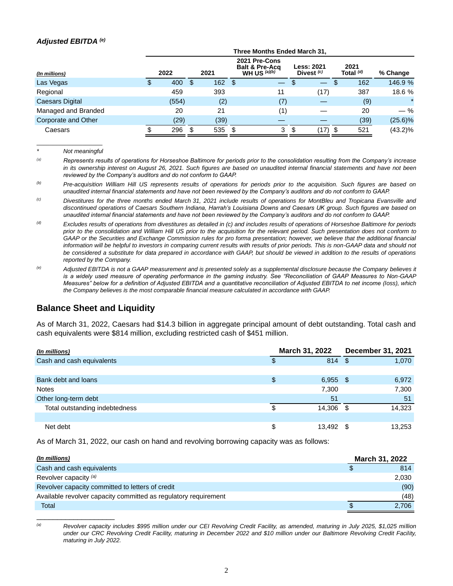### *Adjusted EBITDA (e)*

|                     | Three Months Ended March 31, |    |      |    |                                                              |     |                                            |     |                     |            |  |  |  |
|---------------------|------------------------------|----|------|----|--------------------------------------------------------------|-----|--------------------------------------------|-----|---------------------|------------|--|--|--|
| (In millions)       | 2022                         |    | 2021 |    | 2021 Pre-Cons<br><b>Balt &amp; Pre-Acq</b><br>WH US $(a)(b)$ |     | <b>Less: 2021</b><br>Divest <sup>(c)</sup> |     | 2021<br>Total $(d)$ | % Change   |  |  |  |
| Las Vegas           | \$<br>400                    | \$ | 162  | S. | $\overline{\phantom{0}}$                                     | \$. | $\overline{\phantom{0}}$                   | \$. | 162                 | 146.9 %    |  |  |  |
| Regional            | 459                          |    | 393  |    | 11                                                           |     | (17)                                       |     | 387                 | 18.6 %     |  |  |  |
| Caesars Digital     | (554)                        |    | (2)  |    | (7)                                                          |     |                                            |     | (9)                 | $\ast$     |  |  |  |
| Managed and Branded | 20                           |    | 21   |    | (1)                                                          |     |                                            |     | 20                  | $-$ %      |  |  |  |
| Corporate and Other | (29)                         |    | (39) |    |                                                              |     |                                            |     | (39)                | $(25.6)\%$ |  |  |  |
| Caesars             | \$<br>296                    |    | 535  |    | 3                                                            | \$  |                                            |     | 521                 | (43.2)%    |  |  |  |

 $\_$ *\* Not meaningful* 

- *(c) Divestitures for the three months ended March 31, 2021 include results of operations for MontBleu and Tropicana Evansville and discontinued operations of Caesars Southern Indiana, Harrah's Louisiana Downs and Caesars UK group. Such figures are based on unaudited internal financial statements and have not been reviewed by the Company's auditors and do not conform to GAAP.*
- *(d) Excludes results of operations from divestitures as detailed in (c) and includes results of operations of Horseshoe Baltimore for periods prior to the consolidation and William Hill US prior to the acquisition for the relevant period. Such presentation does not conform to GAAP or the Securities and Exchange Commission rules for pro forma presentation; however, we believe that the additional financial*  information will be helpful to investors in comparing current results with results of prior periods. This is non-GAAP data and should not *be considered a substitute for data prepared in accordance with GAAP, but should be viewed in addition to the results of operations reported by the Company.*
- *(e) Adjusted EBITDA is not a GAAP measurement and is presented solely as a supplemental disclosure because the Company believes it is a widely used measure of operating performance in the gaming industry. See "Reconciliation of GAAP Measures to Non-GAAP Measures" below for a definition of Adjusted EBITDA and a quantitative reconciliation of Adjusted EBITDA to net income (loss), which the Company believes is the most comparable financial measure calculated in accordance with GAAP.*

# **Balance Sheet and Liquidity**

As of March 31, 2022, Caesars had \$14.3 billion in aggregate principal amount of debt outstanding. Total cash and cash equivalents were \$814 million, excluding restricted cash of \$451 million.

| (In millions)                  | March 31, 2022 |        | <b>December 31, 2021</b> |        |
|--------------------------------|----------------|--------|--------------------------|--------|
| Cash and cash equivalents      | \$             | 814    | -\$                      | 1,070  |
|                                |                |        |                          |        |
| Bank debt and loans            | \$             | 6,955  | - \$                     | 6,972  |
| <b>Notes</b>                   |                | 7,300  |                          | 7,300  |
| Other long-term debt           |                | 51     |                          | 51     |
| Total outstanding indebtedness | S              | 14,306 | - \$                     | 14,323 |
|                                |                |        |                          |        |
| Net debt                       | \$             | 13,492 | - \$                     | 13,253 |

As of March 31, 2022, our cash on hand and revolving borrowing capacity was as follows:

| (In millions)                                                   | <b>March 31, 2022</b> |       |
|-----------------------------------------------------------------|-----------------------|-------|
| Cash and cash equivalents                                       |                       | 814   |
| Revolver capacity (a)                                           |                       | 2,030 |
| Revolver capacity committed to letters of credit                |                       | (90)  |
| Available revolver capacity committed as regulatory requirement |                       | (48)  |
| Total                                                           |                       | 2.706 |

\_\_\_\_\_\_\_\_\_\_\_\_\_\_\_\_\_\_\_

*<sup>(</sup>a) Represents results of operations for Horseshoe Baltimore for periods prior to the consolidation resulting from the Company's increase in its ownership interest on August 26, 2021. Such figures are based on unaudited internal financial statements and have not been reviewed by the Company's auditors and do not conform to GAAP.*

*<sup>(</sup>b) Pre-acquisition William Hill US represents results of operations for periods prior to the acquisition. Such figures are based on unaudited internal financial statements and have not been reviewed by the Company's auditors and do not conform to GAAP.*

*<sup>(</sup>a) Revolver capacity includes \$995 million under our CEI Revolving Credit Facility, as amended, maturing in July 2025, \$1,025 million*  under our CRC Revolving Credit Facility, maturing in December 2022 and \$10 million under our Baltimore Revolving Credit Facility, *maturing in July 2022.*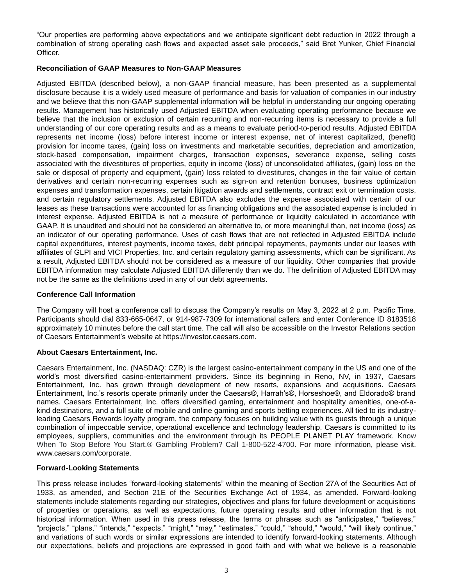"Our properties are performing above expectations and we anticipate significant debt reduction in 2022 through a combination of strong operating cash flows and expected asset sale proceeds," said Bret Yunker, Chief Financial Officer.

### **Reconciliation of GAAP Measures to Non-GAAP Measures**

Adjusted EBITDA (described below), a non-GAAP financial measure, has been presented as a supplemental disclosure because it is a widely used measure of performance and basis for valuation of companies in our industry and we believe that this non-GAAP supplemental information will be helpful in understanding our ongoing operating results. Management has historically used Adjusted EBITDA when evaluating operating performance because we believe that the inclusion or exclusion of certain recurring and non-recurring items is necessary to provide a full understanding of our core operating results and as a means to evaluate period-to-period results. Adjusted EBITDA represents net income (loss) before interest income or interest expense, net of interest capitalized, (benefit) provision for income taxes, (gain) loss on investments and marketable securities, depreciation and amortization, stock-based compensation, impairment charges, transaction expenses, severance expense, selling costs associated with the divestitures of properties, equity in income (loss) of unconsolidated affiliates, (gain) loss on the sale or disposal of property and equipment, (gain) loss related to divestitures, changes in the fair value of certain derivatives and certain non-recurring expenses such as sign-on and retention bonuses, business optimization expenses and transformation expenses, certain litigation awards and settlements, contract exit or termination costs, and certain regulatory settlements. Adjusted EBITDA also excludes the expense associated with certain of our leases as these transactions were accounted for as financing obligations and the associated expense is included in interest expense. Adjusted EBITDA is not a measure of performance or liquidity calculated in accordance with GAAP. It is unaudited and should not be considered an alternative to, or more meaningful than, net income (loss) as an indicator of our operating performance. Uses of cash flows that are not reflected in Adjusted EBITDA include capital expenditures, interest payments, income taxes, debt principal repayments, payments under our leases with affiliates of GLPI and VICI Properties, Inc. and certain regulatory gaming assessments, which can be significant. As a result, Adjusted EBITDA should not be considered as a measure of our liquidity. Other companies that provide EBITDA information may calculate Adjusted EBITDA differently than we do. The definition of Adjusted EBITDA may not be the same as the definitions used in any of our debt agreements.

## **Conference Call Information**

The Company will host a conference call to discuss the Company's results on May 3, 2022 at 2 p.m. Pacific Time. Participants should dial 833-665-0647, or 914-987-7309 for international callers and enter Conference ID 8183518 approximately 10 minutes before the call start time. The call will also be accessible on the Investor Relations section of Caesars Entertainment's website at https://investor.caesars.com.

### **About Caesars Entertainment, Inc.**

Caesars Entertainment, Inc. (NASDAQ: CZR) is the largest casino-entertainment company in the US and one of the world's most diversified casino-entertainment providers. Since its beginning in Reno, NV, in 1937, Caesars Entertainment, Inc. has grown through development of new resorts, expansions and acquisitions. Caesars Entertainment, Inc.'s resorts operate primarily under the Caesars®, Harrah's®, Horseshoe®, and Eldorado® brand names. Caesars Entertainment, Inc. offers diversified gaming, entertainment and hospitality amenities, one-of-akind destinations, and a full suite of mobile and online gaming and sports betting experiences. All tied to its industryleading Caesars Rewards loyalty program, the company focuses on building value with its guests through a unique combination of impeccable service, operational excellence and technology leadership. Caesars is committed to its employees, suppliers, communities and the environment through its PEOPLE PLANET PLAY framework. Know When To Stop Before You Start.<sup>®</sup> Gambling Problem? Call 1-800-522-4700. For more information, please visit. www.caesars.com/corporate.

### **Forward-Looking Statements**

This press release includes "forward-looking statements" within the meaning of Section 27A of the Securities Act of 1933, as amended, and Section 21E of the Securities Exchange Act of 1934, as amended. Forward-looking statements include statements regarding our strategies, objectives and plans for future development or acquisitions of properties or operations, as well as expectations, future operating results and other information that is not historical information. When used in this press release, the terms or phrases such as "anticipates," "believes," "projects," "plans," "intends," "expects," "might," "may," "estimates," "could," "should," "would," "will likely continue," and variations of such words or similar expressions are intended to identify forward-looking statements. Although our expectations, beliefs and projections are expressed in good faith and with what we believe is a reasonable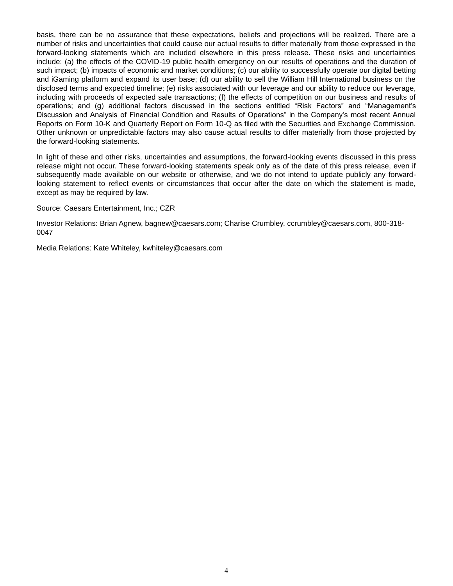basis, there can be no assurance that these expectations, beliefs and projections will be realized. There are a number of risks and uncertainties that could cause our actual results to differ materially from those expressed in the forward-looking statements which are included elsewhere in this press release. These risks and uncertainties include: (a) the effects of the COVID-19 public health emergency on our results of operations and the duration of such impact; (b) impacts of economic and market conditions; (c) our ability to successfully operate our digital betting and iGaming platform and expand its user base; (d) our ability to sell the William Hill International business on the disclosed terms and expected timeline; (e) risks associated with our leverage and our ability to reduce our leverage, including with proceeds of expected sale transactions; (f) the effects of competition on our business and results of operations; and (g) additional factors discussed in the sections entitled "Risk Factors" and "Management's Discussion and Analysis of Financial Condition and Results of Operations" in the Company's most recent Annual Reports on Form 10-K and Quarterly Report on Form 10-Q as filed with the Securities and Exchange Commission. Other unknown or unpredictable factors may also cause actual results to differ materially from those projected by the forward-looking statements.

In light of these and other risks, uncertainties and assumptions, the forward-looking events discussed in this press release might not occur. These forward-looking statements speak only as of the date of this press release, even if subsequently made available on our website or otherwise, and we do not intend to update publicly any forwardlooking statement to reflect events or circumstances that occur after the date on which the statement is made, except as may be required by law.

Source: Caesars Entertainment, Inc.; CZR

Investor Relations: Brian Agnew, bagnew@caesars.com; Charise Crumbley, ccrumbley@caesars.com, 800-318- 0047

Media Relations: Kate Whiteley, kwhiteley@caesars.com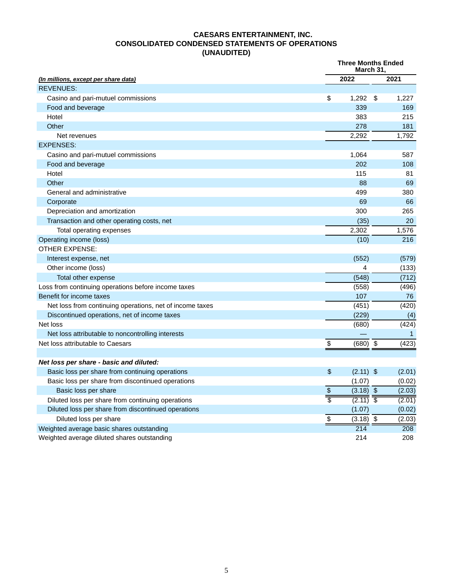### **CAESARS ENTERTAINMENT, INC. CONSOLIDATED CONDENSED STATEMENTS OF OPERATIONS (UNAUDITED)**

|                                                          |                                        | <b>Three Months Ended</b><br>March 31, |
|----------------------------------------------------------|----------------------------------------|----------------------------------------|
| (In millions, except per share data)                     | 2022                                   | 2021                                   |
| <b>REVENUES:</b>                                         |                                        |                                        |
| Casino and pari-mutuel commissions                       | \$<br>1,292                            | \$<br>1,227                            |
| Food and beverage                                        | 339                                    | 169                                    |
| Hotel                                                    | 383                                    | 215                                    |
| Other                                                    | 278                                    | 181                                    |
| Net revenues                                             | 2,292                                  | 1,792                                  |
| <b>EXPENSES:</b>                                         |                                        |                                        |
| Casino and pari-mutuel commissions                       | 1,064                                  | 587                                    |
| Food and beverage                                        | 202                                    | 108                                    |
| Hotel                                                    | 115                                    | 81                                     |
| Other                                                    | 88                                     | 69                                     |
| General and administrative                               | 499                                    | 380                                    |
| Corporate                                                | 69                                     | 66                                     |
| Depreciation and amortization                            | 300                                    | 265                                    |
| Transaction and other operating costs, net               | (35)                                   | 20                                     |
| Total operating expenses                                 | 2,302                                  | 1,576                                  |
| Operating income (loss)                                  | (10)                                   | 216                                    |
| <b>OTHER EXPENSE:</b>                                    |                                        |                                        |
| Interest expense, net                                    | (552)                                  | (579)                                  |
| Other income (loss)                                      | 4                                      | (133)                                  |
| Total other expense                                      | (548)                                  | (712)                                  |
| Loss from continuing operations before income taxes      | (558)                                  | (496)                                  |
| Benefit for income taxes                                 | 107                                    | 76                                     |
| Net loss from continuing operations, net of income taxes | (451)                                  | (420)                                  |
| Discontinued operations, net of income taxes             | (229)                                  | (4)                                    |
| Net loss                                                 | (680)                                  | (424)                                  |
| Net loss attributable to noncontrolling interests        |                                        | $\mathbf{1}$                           |
| Net loss attributable to Caesars                         | \$<br>(680)                            | $\sqrt[6]{\frac{1}{2}}$<br>(423)       |
|                                                          |                                        |                                        |
| Net loss per share - basic and diluted:                  |                                        |                                        |
| Basic loss per share from continuing operations          | \$<br>$(2.11)$ \$                      | (2.01)                                 |
| Basic loss per share from discontinued operations        | (1.07)                                 | (0.02)                                 |
| Basic loss per share                                     | $\boldsymbol{\theta}$<br>$(3.18)$ \$   | (2.03)                                 |
| Diluted loss per share from continuing operations        | $\overline{\mathbb{S}}$<br>$(2.11)$ \$ | (2.01)                                 |
| Diluted loss per share from discontinued operations      | (1.07)                                 | (0.02)                                 |
| Diluted loss per share                                   | \$<br>(3.18)                           | $\boldsymbol{\mathsf{S}}$<br>(2.03)    |
| Weighted average basic shares outstanding                | 214                                    | 208                                    |
| Weighted average diluted shares outstanding              | 214                                    | 208                                    |